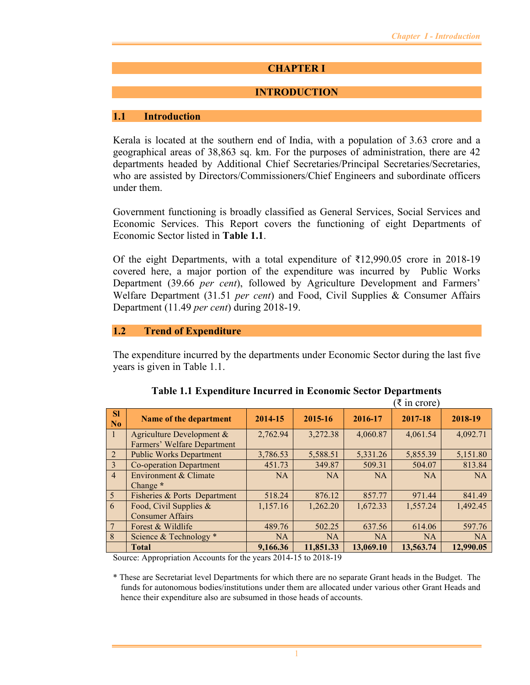# **CHAPTER I**

# **INTRODUCTION**

## **1.1 Introduction**

Kerala is located at the southern end of India, with a population of 3.63 crore and a geographical areas of 38,863 sq. km. For the purposes of administration, there are 42 departments headed by Additional Chief Secretaries/Principal Secretaries/Secretaries, who are assisted by Directors/Commissioners/Chief Engineers and subordinate officers under them.

Government functioning is broadly classified as General Services, Social Services and Economic Services. This Report covers the functioning of eight Departments of Economic Sector listed in **Table 1.1**.

Of the eight Departments, with a total expenditure of ₹12,990.05 crore in 2018-19 covered here, a major portion of the expenditure was incurred by Public Works Department (39.66 *per cent*), followed by Agriculture Development and Farmers' Welfare Department (31.51 *per cent*) and Food, Civil Supplies & Consumer Affairs Department (11.49 *per cent*) during 2018-19.

## **1.2 Trend of Expenditure**

The expenditure incurred by the departments under Economic Sector during the last five years is given in Table 1.1.

|                |                                                          | $\tau$ in crote) |           |           |           |           |
|----------------|----------------------------------------------------------|------------------|-----------|-----------|-----------|-----------|
| -SI<br>No      | Name of the department                                   | 2014-15          | 2015-16   | 2016-17   | 2017-18   | 2018-19   |
| $\vert$        | Agriculture Development &<br>Farmers' Welfare Department | 2,762.94         | 3,272.38  | 4,060.87  | 4,061.54  | 4,092.71  |
| 2              | <b>Public Works Department</b>                           | 3,786.53         | 5,588.51  | 5,331.26  | 5,855.39  | 5,151.80  |
| 3              | Co-operation Department                                  | 451.73           | 349.87    | 509.31    | 504.07    | 813.84    |
| $\overline{4}$ | Environment & Climate<br>Change $*$                      | <b>NA</b>        | NA        | <b>NA</b> | <b>NA</b> | <b>NA</b> |
| 5              | Fisheries & Ports Department                             | 518.24           | 876.12    | 857.77    | 971.44    | 841.49    |
| 6              | Food, Civil Supplies &<br><b>Consumer Affairs</b>        | 1,157.16         | 1,262.20  | 1,672.33  | 1,557.24  | 1,492.45  |
| 7              | Forest & Wildlife                                        | 489.76           | 502.25    | 637.56    | 614.06    | 597.76    |
| 8              | Science & Technology *                                   | <b>NA</b>        | NA        | <b>NA</b> | <b>NA</b> | NA        |
|                | <b>Total</b>                                             | 9,166.36         | 11,851.33 | 13,069.10 | 13,563.74 | 12,990.05 |

#### **Table 1.1 Expenditure Incurred in Economic Sector Departments**   $(7 in \text{const})$

Source: Appropriation Accounts for the years 2014-15 to 2018-19

\* These are Secretariat level Departments for which there are no separate Grant heads in the Budget. The funds for autonomous bodies/institutions under them are allocated under various other Grant Heads and hence their expenditure also are subsumed in those heads of accounts.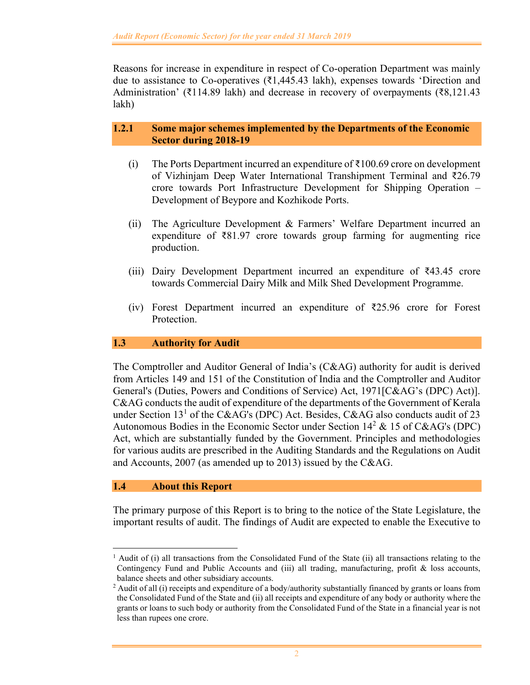Reasons for increase in expenditure in respect of Co-operation Department was mainly due to assistance to Co-operatives (₹1,445.43 lakh), expenses towards 'Direction and Administration' (₹114.89 lakh) and decrease in recovery of overpayments (₹8,121.43 lakh)

## **1.2.1 Some major schemes implemented by the Departments of the Economic Sector during 2018-19**

- (i) The Ports Department incurred an expenditure of ₹100.69 crore on development of Vizhinjam Deep Water International Transhipment Terminal and ₹26.79 crore towards Port Infrastructure Development for Shipping Operation – Development of Beypore and Kozhikode Ports.
- (ii) The Agriculture Development & Farmers' Welfare Department incurred an expenditure of ₹81.97 crore towards group farming for augmenting rice production.
- (iii) Dairy Development Department incurred an expenditure of ₹43.45 crore towards Commercial Dairy Milk and Milk Shed Development Programme.
- (iv) Forest Department incurred an expenditure of  $\overline{2}25.96$  crore for Forest Protection.

## **1.3 Authority for Audit**

The Comptroller and Auditor General of India's (C&AG) authority for audit is derived from Articles 149 and 151 of the Constitution of India and the Comptroller and Auditor General's (Duties, Powers and Conditions of Service) Act, 1971[C&AG's (DPC) Act)]. C&AG conducts the audit of expenditure of the departments of the Government of Kerala under Section 13<sup>1</sup> of the C&AG's (DPC) Act. Besides, C&AG also conducts audit of 23 Autonomous Bodies in the Economic Sector under Section  $14^2 \& 15$  of C&AG's (DPC) Act, which are substantially funded by the Government. Principles and methodologies for various audits are prescribed in the Auditing Standards and the Regulations on Audit and Accounts, 2007 (as amended up to 2013) issued by the C&AG.

#### **1.4 About this Report**

The primary purpose of this Report is to bring to the notice of the State Legislature, the important results of audit. The findings of Audit are expected to enable the Executive to

<sup>&</sup>lt;sup>1</sup> Audit of (i) all transactions from the Consolidated Fund of the State (ii) all transactions relating to the Contingency Fund and Public Accounts and (iii) all trading, manufacturing, profit & loss accounts, balance sheets and other subsidiary accounts.

 $^2$  Audit of all (i) receipts and expenditure of a body/authority substantially financed by grants or loans from the Consolidated Fund of the State and (ii) all receipts and expenditure of any body or authority where the grants or loans to such body or authority from the Consolidated Fund of the State in a financial year is not less than rupees one crore.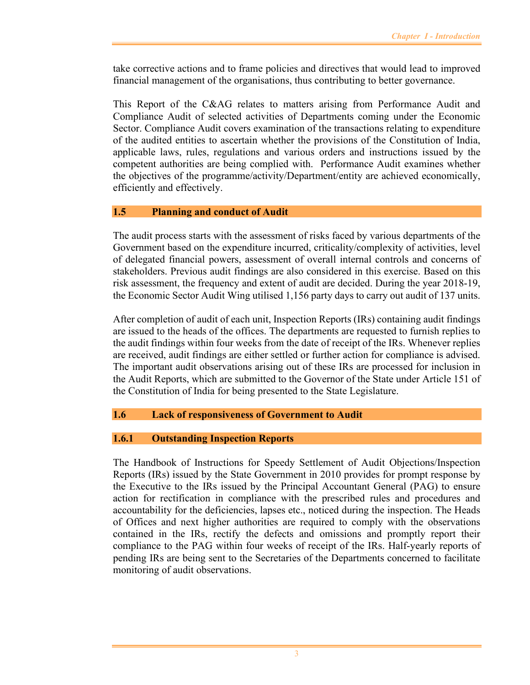take corrective actions and to frame policies and directives that would lead to improved financial management of the organisations, thus contributing to better governance.

This Report of the C&AG relates to matters arising from Performance Audit and Compliance Audit of selected activities of Departments coming under the Economic Sector. Compliance Audit covers examination of the transactions relating to expenditure of the audited entities to ascertain whether the provisions of the Constitution of India, applicable laws, rules, regulations and various orders and instructions issued by the competent authorities are being complied with. Performance Audit examines whether the objectives of the programme/activity/Department/entity are achieved economically, efficiently and effectively.

## **1.5 Planning and conduct of Audit**

The audit process starts with the assessment of risks faced by various departments of the Government based on the expenditure incurred, criticality/complexity of activities, level of delegated financial powers, assessment of overall internal controls and concerns of stakeholders. Previous audit findings are also considered in this exercise. Based on this risk assessment, the frequency and extent of audit are decided. During the year 2018-19, the Economic Sector Audit Wing utilised 1,156 party days to carry out audit of 137 units.

After completion of audit of each unit, Inspection Reports (IRs) containing audit findings are issued to the heads of the offices. The departments are requested to furnish replies to the audit findings within four weeks from the date of receipt of the IRs. Whenever replies are received, audit findings are either settled or further action for compliance is advised. The important audit observations arising out of these IRs are processed for inclusion in the Audit Reports, which are submitted to the Governor of the State under Article 151 of the Constitution of India for being presented to the State Legislature.

## **1.6 Lack of responsiveness of Government to Audit**

## **1.6.1 Outstanding Inspection Reports**

The Handbook of Instructions for Speedy Settlement of Audit Objections/Inspection Reports (IRs) issued by the State Government in 2010 provides for prompt response by the Executive to the IRs issued by the Principal Accountant General (PAG) to ensure action for rectification in compliance with the prescribed rules and procedures and accountability for the deficiencies, lapses etc., noticed during the inspection. The Heads of Offices and next higher authorities are required to comply with the observations contained in the IRs, rectify the defects and omissions and promptly report their compliance to the PAG within four weeks of receipt of the IRs. Half-yearly reports of pending IRs are being sent to the Secretaries of the Departments concerned to facilitate monitoring of audit observations.